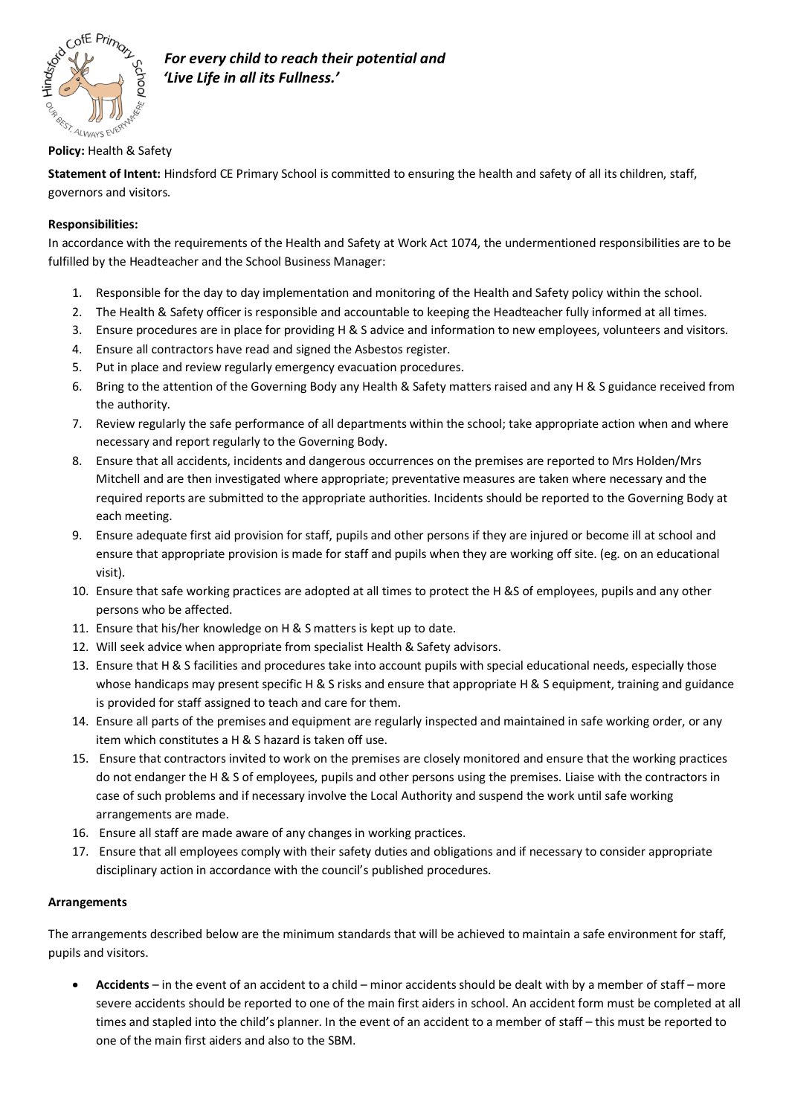

# **Policy:** Health & Safety

**Statement of Intent:** Hindsford CE Primary School is committed to ensuring the health and safety of all its children, staff, governors and visitors.

## **Responsibilities:**

In accordance with the requirements of the Health and Safety at Work Act 1074, the undermentioned responsibilities are to be fulfilled by the Headteacher and the School Business Manager:

- 1. Responsible for the day to day implementation and monitoring of the Health and Safety policy within the school.
- 2. The Health & Safety officer is responsible and accountable to keeping the Headteacher fully informed at all times.
- 3. Ensure procedures are in place for providing H & S advice and information to new employees, volunteers and visitors.
- 4. Ensure all contractors have read and signed the Asbestos register.
- 5. Put in place and review regularly emergency evacuation procedures.
- 6. Bring to the attention of the Governing Body any Health & Safety matters raised and any H & S guidance received from the authority.
- 7. Review regularly the safe performance of all departments within the school; take appropriate action when and where necessary and report regularly to the Governing Body.
- 8. Ensure that all accidents, incidents and dangerous occurrences on the premises are reported to Mrs Holden/Mrs Mitchell and are then investigated where appropriate; preventative measures are taken where necessary and the required reports are submitted to the appropriate authorities. Incidents should be reported to the Governing Body at each meeting.
- 9. Ensure adequate first aid provision for staff, pupils and other persons if they are injured or become ill at school and ensure that appropriate provision is made for staff and pupils when they are working off site. (eg. on an educational visit).
- 10. Ensure that safe working practices are adopted at all times to protect the H &S of employees, pupils and any other persons who be affected.
- 11. Ensure that his/her knowledge on H & S matters is kept up to date.
- 12. Will seek advice when appropriate from specialist Health & Safety advisors.
- 13. Ensure that H & S facilities and procedures take into account pupils with special educational needs, especially those whose handicaps may present specific H & S risks and ensure that appropriate H & S equipment, training and guidance is provided for staff assigned to teach and care for them.
- 14. Ensure all parts of the premises and equipment are regularly inspected and maintained in safe working order, or any item which constitutes a H & S hazard is taken off use.
- 15. Ensure that contractors invited to work on the premises are closely monitored and ensure that the working practices do not endanger the H & S of employees, pupils and other persons using the premises. Liaise with the contractors in case of such problems and if necessary involve the Local Authority and suspend the work until safe working arrangements are made.
- 16. Ensure all staff are made aware of any changes in working practices.
- 17. Ensure that all employees comply with their safety duties and obligations and if necessary to consider appropriate disciplinary action in accordance with the council's published procedures.

### **Arrangements**

The arrangements described below are the minimum standards that will be achieved to maintain a safe environment for staff, pupils and visitors.

• **Accidents** – in the event of an accident to a child – minor accidents should be dealt with by a member of staff – more severe accidents should be reported to one of the main first aiders in school. An accident form must be completed at all times and stapled into the child's planner. In the event of an accident to a member of staff – this must be reported to one of the main first aiders and also to the SBM.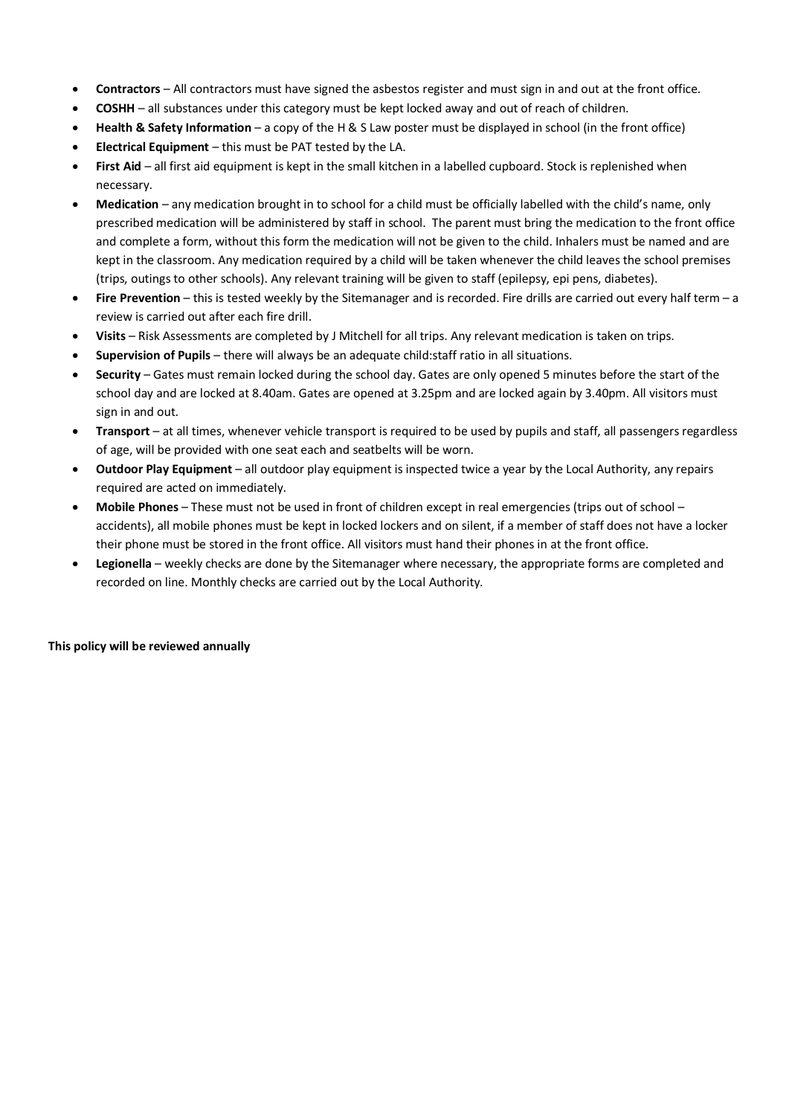- **Contractors** All contractors must have signed the asbestos register and must sign in and out at the front office.
- **COSHH** all substances under this category must be kept locked away and out of reach of children.
- **Health & Safety Information** a copy of the H & S Law poster must be displayed in school (in the front office)
- **Electrical Equipment** this must be PAT tested by the LA.
- **First Aid** all first aid equipment is kept in the small kitchen in a labelled cupboard. Stock is replenished when necessary.
- **Medication** any medication brought in to school for a child must be officially labelled with the child's name, only prescribed medication will be administered by staff in school. The parent must bring the medication to the front office and complete a form, without this form the medication will not be given to the child. Inhalers must be named and are kept in the classroom. Any medication required by a child will be taken whenever the child leaves the school premises (trips, outings to other schools). Any relevant training will be given to staff (epilepsy, epi pens, diabetes).
- **Fire Prevention** this is tested weekly by the Sitemanager and is recorded. Fire drills are carried out every half term a review is carried out after each fire drill.
- **Visits** Risk Assessments are completed by J Mitchell for all trips. Any relevant medication is taken on trips.
- **Supervision of Pupils** there will always be an adequate child:staff ratio in all situations.
- **Security** Gates must remain locked during the school day. Gates are only opened 5 minutes before the start of the school day and are locked at 8.40am. Gates are opened at 3.25pm and are locked again by 3.40pm. All visitors must sign in and out.
- **Transport** at all times, whenever vehicle transport is required to be used by pupils and staff, all passengers regardless of age, will be provided with one seat each and seatbelts will be worn.
- **Outdoor Play Equipment**  all outdoor play equipment is inspected twice a year by the Local Authority, any repairs required are acted on immediately.
- **Mobile Phones**  These must not be used in front of children except in real emergencies (trips out of school accidents), all mobile phones must be kept in locked lockers and on silent, if a member of staff does not have a locker their phone must be stored in the front office. All visitors must hand their phones in at the front office.
- **Legionella**  weekly checks are done by the Sitemanager where necessary, the appropriate forms are completed and recorded on line. Monthly checks are carried out by the Local Authority.

### **This policy will be reviewed annually**